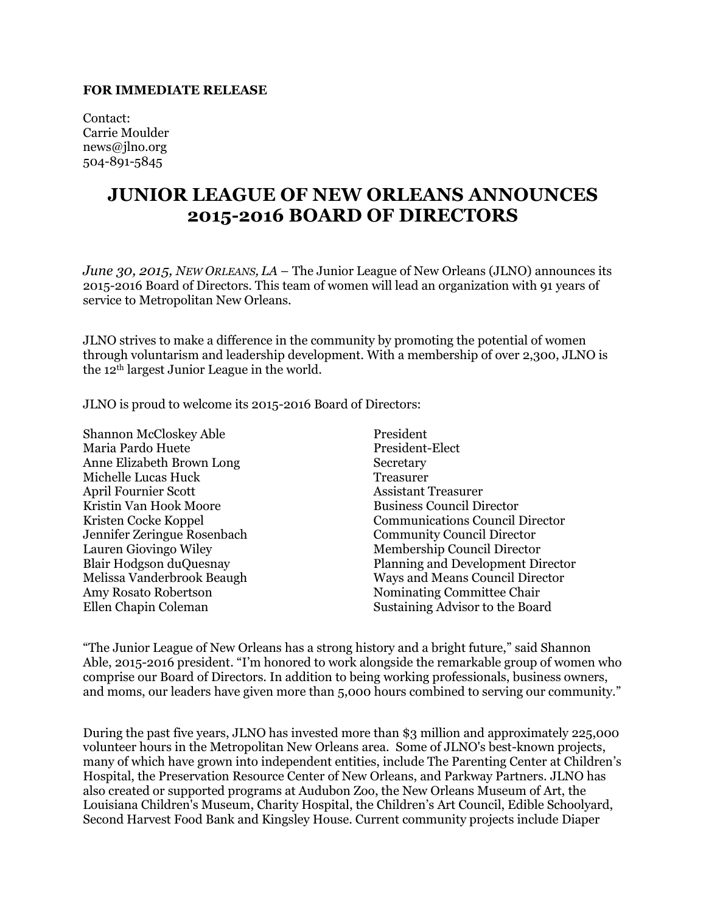## **FOR IMMEDIATE RELEASE**

Contact: Carrie Moulder news@jlno.org 504-891-5845

## **JUNIOR LEAGUE OF NEW ORLEANS ANNOUNCES 2015-2016 BOARD OF DIRECTORS**

*June 30, 2015, NEW ORLEANS, LA* – The Junior League of New Orleans (JLNO) announces its 2015-2016 Board of Directors. This team of women will lead an organization with 91 years of service to Metropolitan New Orleans.

JLNO strives to make a difference in the community by promoting the potential of women through voluntarism and leadership development. With a membership of over 2,300, JLNO is the 12th largest Junior League in the world.

JLNO is proud to welcome its 2015-2016 Board of Directors:

Shannon McCloskey Able President Maria Pardo Huete President-Elect Anne Elizabeth Brown Long Secretary Michelle Lucas Huck Treasurer April Fournier Scott Assistant Treasurer Kristin Van Hook Moore Business Council Director Jennifer Zeringue Rosenbach Community Council Director Amy Rosato Robertson Nominating Committee Chair Ellen Chapin Coleman Sustaining Advisor to the Board

Kristen Cocke Koppel Communications Council Director Lauren Giovingo Wiley Membership Council Director Blair Hodgson duQuesnay Planning and Development Director Ways and Means Council Director

"The Junior League of New Orleans has a strong history and a bright future," said Shannon Able, 2015-2016 president. "I'm honored to work alongside the remarkable group of women who comprise our Board of Directors. In addition to being working professionals, business owners, and moms, our leaders have given more than 5,000 hours combined to serving our community."

During the past five years, JLNO has invested more than \$3 million and approximately 225,000 volunteer hours in the Metropolitan New Orleans area. Some of JLNO's best-known projects, many of which have grown into independent entities, include The Parenting Center at Children's Hospital, the Preservation Resource Center of New Orleans, and Parkway Partners. JLNO has also created or supported programs at Audubon Zoo, the New Orleans Museum of Art, the Louisiana Children's Museum, Charity Hospital, the Children's Art Council, Edible Schoolyard, Second Harvest Food Bank and Kingsley House. Current community projects include Diaper